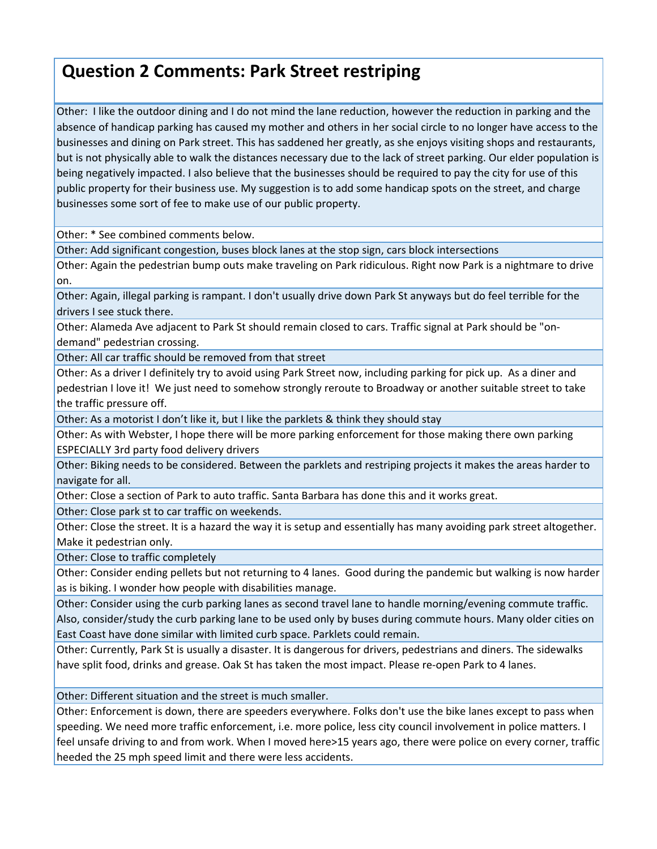## **Question 2 Comments: Park Street restriping**

Other: I like the outdoor dining and I do not mind the lane reduction, however the reduction in parking and the absence of handicap parking has caused my mother and others in her social circle to no longer have access to the businesses and dining on Park street. This has saddened her greatly, as she enjoys visiting shops and restaurants, but is not physically able to walk the distances necessary due to the lack of street parking. Our elder population is being negatively impacted. I also believe that the businesses should be required to pay the city for use of this public property for their business use. My suggestion is to add some handicap spots on the street, and charge businesses some sort of fee to make use of our public property.

Other: \* See combined comments below.

Other: Add significant congestion, buses block lanes at the stop sign, cars block intersections

Other: Again the pedestrian bump outs make traveling on Park ridiculous. Right now Park is a nightmare to drive on.

Other: Again, illegal parking is rampant. I don't usually drive down Park St anyways but do feel terrible for the drivers I see stuck there.

Other: Alameda Ave adjacent to Park St should remain closed to cars. Traffic signal at Park should be "on‐ demand" pedestrian crossing.

Other: All car traffic should be removed from that street

Other: As a driver I definitely try to avoid using Park Street now, including parking for pick up. As a diner and pedestrian I love it! We just need to somehow strongly reroute to Broadway or another suitable street to take the traffic pressure off.

Other: As a motorist I don't like it, but I like the parklets & think they should stay

Other: As with Webster, I hope there will be more parking enforcement for those making there own parking ESPECIALLY 3rd party food delivery drivers

Other: Biking needs to be considered. Between the parklets and restriping projects it makes the areas harder to navigate for all.

Other: Close a section of Park to auto traffic. Santa Barbara has done this and it works great.

Other: Close park st to car traffic on weekends.

Other: Close the street. It is a hazard the way it is setup and essentially has many avoiding park street altogether. Make it pedestrian only.

Other: Close to traffic completely

Other: Consider ending pellets but not returning to 4 lanes. Good during the pandemic but walking is now harder as is biking. I wonder how people with disabilities manage.

Other: Consider using the curb parking lanes as second travel lane to handle morning/evening commute traffic.

Also, consider/study the curb parking lane to be used only by buses during commute hours. Many older cities on East Coast have done similar with limited curb space. Parklets could remain.

Other: Currently, Park St is usually a disaster. It is dangerous for drivers, pedestrians and diners. The sidewalks have split food, drinks and grease. Oak St has taken the most impact. Please re‐open Park to 4 lanes.

Other: Different situation and the street is much smaller.

Other: Enforcement is down, there are speeders everywhere. Folks don't use the bike lanes except to pass when speeding. We need more traffic enforcement, i.e. more police, less city council involvement in police matters. I feel unsafe driving to and from work. When I moved here>15 years ago, there were police on every corner, traffic heeded the 25 mph speed limit and there were less accidents.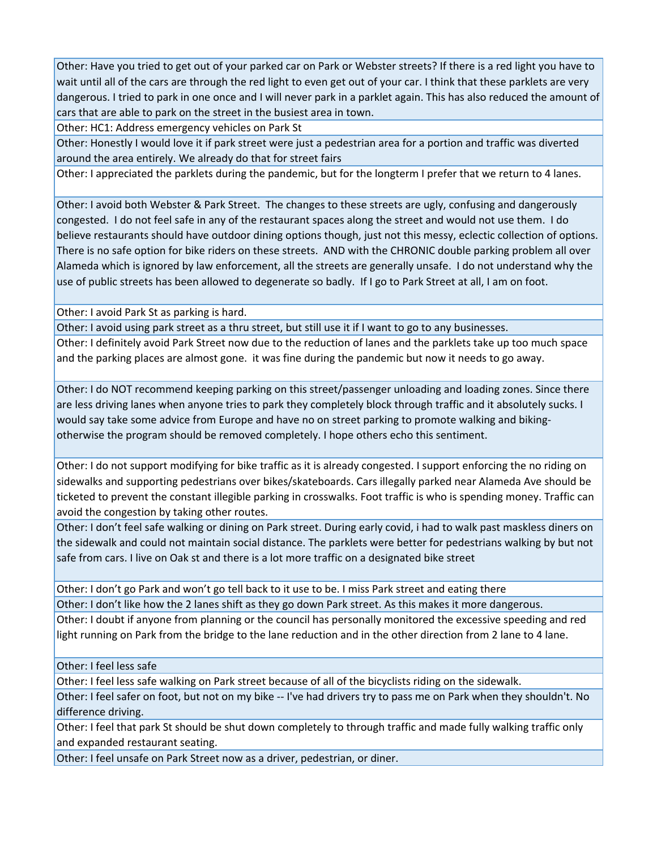Other: Have you tried to get out of your parked car on Park or Webster streets? If there is a red light you have to wait until all of the cars are through the red light to even get out of your car. I think that these parklets are very dangerous. I tried to park in one once and I will never park in a parklet again. This has also reduced the amount of cars that are able to park on the street in the busiest area in town.

Other: HC1: Address emergency vehicles on Park St

Other: Honestly I would love it if park street were just a pedestrian area for a portion and traffic was diverted around the area entirely. We already do that for street fairs

Other: I appreciated the parklets during the pandemic, but for the longterm I prefer that we return to 4 lanes.

Other: I avoid both Webster & Park Street. The changes to these streets are ugly, confusing and dangerously congested. I do not feel safe in any of the restaurant spaces along the street and would not use them. I do believe restaurants should have outdoor dining options though, just not this messy, eclectic collection of options. There is no safe option for bike riders on these streets. AND with the CHRONIC double parking problem all over Alameda which is ignored by law enforcement, all the streets are generally unsafe. I do not understand why the use of public streets has been allowed to degenerate so badly. If I go to Park Street at all, I am on foot.

Other: I avoid Park St as parking is hard.

Other: I avoid using park street as a thru street, but still use it if I want to go to any businesses. Other: I definitely avoid Park Street now due to the reduction of lanes and the parklets take up too much space and the parking places are almost gone. it was fine during the pandemic but now it needs to go away.

Other: I do NOT recommend keeping parking on this street/passenger unloading and loading zones. Since there are less driving lanes when anyone tries to park they completely block through traffic and it absolutely sucks. I would say take some advice from Europe and have no on street parking to promote walking and bikingotherwise the program should be removed completely. I hope others echo this sentiment.

Other: I do not support modifying for bike traffic as it is already congested. I support enforcing the no riding on sidewalks and supporting pedestrians over bikes/skateboards. Cars illegally parked near Alameda Ave should be ticketed to prevent the constant illegible parking in crosswalks. Foot traffic is who is spending money. Traffic can avoid the congestion by taking other routes.

Other: I don't feel safe walking or dining on Park street. During early covid, i had to walk past maskless diners on the sidewalk and could not maintain social distance. The parklets were better for pedestrians walking by but not safe from cars. I live on Oak st and there is a lot more traffic on a designated bike street

Other: I don't go Park and won't go tell back to it use to be. I miss Park street and eating there

Other: I don't like how the 2 lanes shift as they go down Park street. As this makes it more dangerous.

Other: I doubt if anyone from planning or the council has personally monitored the excessive speeding and red light running on Park from the bridge to the lane reduction and in the other direction from 2 lane to 4 lane.

Other: I feel less safe

Other: I feel less safe walking on Park street because of all of the bicyclists riding on the sidewalk.

Other: I feel safer on foot, but not on my bike ‐‐ I've had drivers try to pass me on Park when they shouldn't. No difference driving.

Other: I feel that park St should be shut down completely to through traffic and made fully walking traffic only and expanded restaurant seating.

Other: I feel unsafe on Park Street now as a driver, pedestrian, or diner.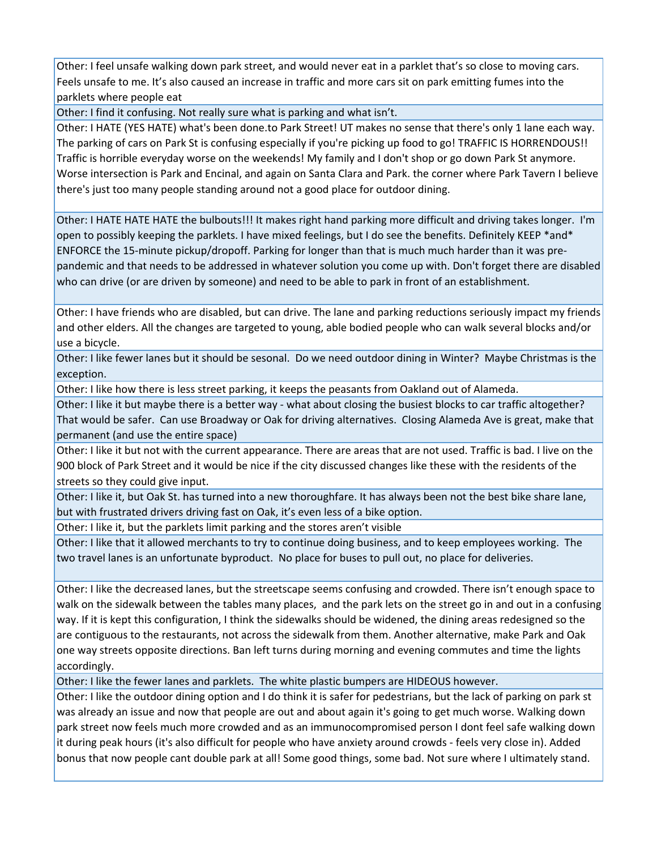Other: I feel unsafe walking down park street, and would never eat in a parklet that's so close to moving cars. Feels unsafe to me. It's also caused an increase in traffic and more cars sit on park emitting fumes into the parklets where people eat

Other: I find it confusing. Not really sure what is parking and what isn't.

Other: I HATE (YES HATE) what's been done.to Park Street! UT makes no sense that there's only 1 lane each way. The parking of cars on Park St is confusing especially if you're picking up food to go! TRAFFIC IS HORRENDOUS!! Traffic is horrible everyday worse on the weekends! My family and I don't shop or go down Park St anymore. Worse intersection is Park and Encinal, and again on Santa Clara and Park. the corner where Park Tavern I believe there's just too many people standing around not a good place for outdoor dining.

Other: I HATE HATE HATE the bulbouts!!! It makes right hand parking more difficult and driving takes longer. I'm open to possibly keeping the parklets. I have mixed feelings, but I do see the benefits. Definitely KEEP \*and\* ENFORCE the 15‐minute pickup/dropoff. Parking for longer than that is much much harder than it was pre‐ pandemic and that needs to be addressed in whatever solution you come up with. Don't forget there are disabled who can drive (or are driven by someone) and need to be able to park in front of an establishment.

Other: I have friends who are disabled, but can drive. The lane and parking reductions seriously impact my friends and other elders. All the changes are targeted to young, able bodied people who can walk several blocks and/or use a bicycle.

Other: I like fewer lanes but it should be sesonal. Do we need outdoor dining in Winter? Maybe Christmas is the exception.

Other: I like how there is less street parking, it keeps the peasants from Oakland out of Alameda.

Other: I like it but maybe there is a better way ‐ what about closing the busiest blocks to car traffic altogether? That would be safer. Can use Broadway or Oak for driving alternatives. Closing Alameda Ave is great, make that permanent (and use the entire space)

Other: I like it but not with the current appearance. There are areas that are not used. Traffic is bad. I live on the 900 block of Park Street and it would be nice if the city discussed changes like these with the residents of the streets so they could give input.

Other: I like it, but Oak St. has turned into a new thoroughfare. It has always been not the best bike share lane, but with frustrated drivers driving fast on Oak, it's even less of a bike option.

Other: I like it, but the parklets limit parking and the stores aren't visible

Other: I like that it allowed merchants to try to continue doing business, and to keep employees working. The two travel lanes is an unfortunate byproduct. No place for buses to pull out, no place for deliveries.

Other: I like the decreased lanes, but the streetscape seems confusing and crowded. There isn't enough space to walk on the sidewalk between the tables many places, and the park lets on the street go in and out in a confusing way. If it is kept this configuration, I think the sidewalks should be widened, the dining areas redesigned so the are contiguous to the restaurants, not across the sidewalk from them. Another alternative, make Park and Oak one way streets opposite directions. Ban left turns during morning and evening commutes and time the lights accordingly.

Other: I like the fewer lanes and parklets. The white plastic bumpers are HIDEOUS however.

Other: I like the outdoor dining option and I do think it is safer for pedestrians, but the lack of parking on park st was already an issue and now that people are out and about again it's going to get much worse. Walking down park street now feels much more crowded and as an immunocompromised person I dont feel safe walking down it during peak hours (it's also difficult for people who have anxiety around crowds ‐ feels very close in). Added bonus that now people cant double park at all! Some good things, some bad. Not sure where I ultimately stand.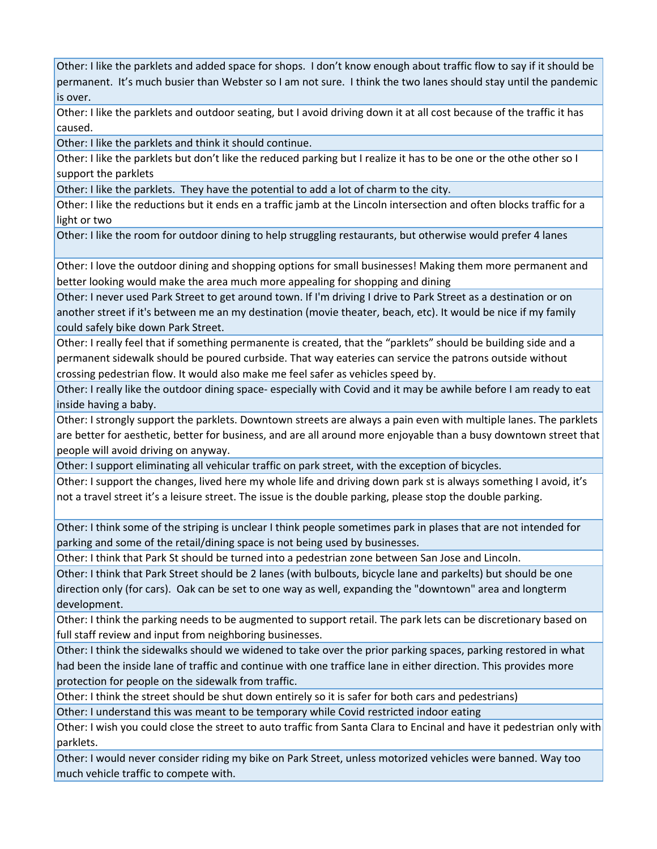Other: I like the parklets and added space for shops. I don't know enough about traffic flow to say if it should be permanent. It's much busier than Webster so I am not sure. I think the two lanes should stay until the pandemic is over.

Other: I like the parklets and outdoor seating, but I avoid driving down it at all cost because of the traffic it has caused.

Other: I like the parklets and think it should continue.

Other: I like the parklets but don't like the reduced parking but I realize it has to be one or the othe other so I support the parklets

Other: I like the parklets. They have the potential to add a lot of charm to the city.

Other: I like the reductions but it ends en a traffic jamb at the Lincoln intersection and often blocks traffic for a light or two

Other: I like the room for outdoor dining to help struggling restaurants, but otherwise would prefer 4 lanes

Other: I love the outdoor dining and shopping options for small businesses! Making them more permanent and better looking would make the area much more appealing for shopping and dining

Other: I never used Park Street to get around town. If I'm driving I drive to Park Street as a destination or on another street if it's between me an my destination (movie theater, beach, etc). It would be nice if my family could safely bike down Park Street.

Other: I really feel that if something permanente is created, that the "parklets" should be building side and a permanent sidewalk should be poured curbside. That way eateries can service the patrons outside without crossing pedestrian flow. It would also make me feel safer as vehicles speed by.

Other: I really like the outdoor dining space‐ especially with Covid and it may be awhile before I am ready to eat inside having a baby.

Other: I strongly support the parklets. Downtown streets are always a pain even with multiple lanes. The parklets are better for aesthetic, better for business, and are all around more enjoyable than a busy downtown street that people will avoid driving on anyway.

Other: I support eliminating all vehicular traffic on park street, with the exception of bicycles.

Other: I support the changes, lived here my whole life and driving down park st is always something I avoid, it's not a travel street it's a leisure street. The issue is the double parking, please stop the double parking.

Other: I think some of the striping is unclear I think people sometimes park in plases that are not intended for parking and some of the retail/dining space is not being used by businesses.

Other: I think that Park St should be turned into a pedestrian zone between San Jose and Lincoln.

Other: I think that Park Street should be 2 lanes (with bulbouts, bicycle lane and parkelts) but should be one direction only (for cars). Oak can be set to one way as well, expanding the "downtown" area and longterm development.

Other: I think the parking needs to be augmented to support retail. The park lets can be discretionary based on full staff review and input from neighboring businesses.

Other: I think the sidewalks should we widened to take over the prior parking spaces, parking restored in what had been the inside lane of traffic and continue with one traffice lane in either direction. This provides more protection for people on the sidewalk from traffic.

Other: I think the street should be shut down entirely so it is safer for both cars and pedestrians)

Other: I understand this was meant to be temporary while Covid restricted indoor eating

Other: I wish you could close the street to auto traffic from Santa Clara to Encinal and have it pedestrian only with parklets.

Other: I would never consider riding my bike on Park Street, unless motorized vehicles were banned. Way too much vehicle traffic to compete with.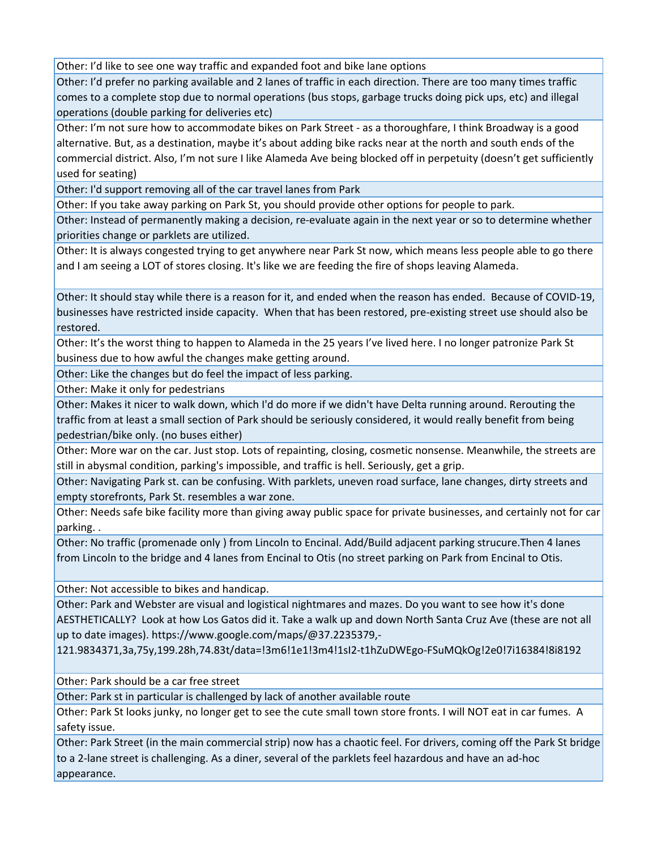Other: I'd like to see one way traffic and expanded foot and bike lane options

Other: I'd prefer no parking available and 2 lanes of traffic in each direction. There are too many times traffic comes to a complete stop due to normal operations (bus stops, garbage trucks doing pick ups, etc) and illegal operations (double parking for deliveries etc)

Other: I'm not sure how to accommodate bikes on Park Street ‐ as a thoroughfare, I think Broadway is a good alternative. But, as a destination, maybe it's about adding bike racks near at the north and south ends of the commercial district. Also, I'm not sure I like Alameda Ave being blocked off in perpetuity (doesn't get sufficiently used for seating)

Other: I'd support removing all of the car travel lanes from Park

Other: If you take away parking on Park St, you should provide other options for people to park.

Other: Instead of permanently making a decision, re‐evaluate again in the next year or so to determine whether priorities change or parklets are utilized.

Other: It is always congested trying to get anywhere near Park St now, which means less people able to go there and I am seeing a LOT of stores closing. It's like we are feeding the fire of shops leaving Alameda.

Other: It should stay while there is a reason for it, and ended when the reason has ended. Because of COVID‐19, businesses have restricted inside capacity. When that has been restored, pre‐existing street use should also be restored.

Other: It's the worst thing to happen to Alameda in the 25 years I've lived here. I no longer patronize Park St business due to how awful the changes make getting around.

Other: Like the changes but do feel the impact of less parking.

Other: Make it only for pedestrians

Other: Makes it nicer to walk down, which I'd do more if we didn't have Delta running around. Rerouting the traffic from at least a small section of Park should be seriously considered, it would really benefit from being pedestrian/bike only. (no buses either)

Other: More war on the car. Just stop. Lots of repainting, closing, cosmetic nonsense. Meanwhile, the streets are still in abysmal condition, parking's impossible, and traffic is hell. Seriously, get a grip.

Other: Navigating Park st. can be confusing. With parklets, uneven road surface, lane changes, dirty streets and empty storefronts, Park St. resembles a war zone.

Other: Needs safe bike facility more than giving away public space for private businesses, and certainly not for car parking. .

Other: No traffic (promenade only ) from Lincoln to Encinal. Add/Build adjacent parking strucure.Then 4 lanes from Lincoln to the bridge and 4 lanes from Encinal to Otis (no street parking on Park from Encinal to Otis.

Other: Not accessible to bikes and handicap.

Other: Park and Webster are visual and logistical nightmares and mazes. Do you want to see how it's done AESTHETICALLY? Look at how Los Gatos did it. Take a walk up and down North Santa Cruz Ave (these are not all up to date images). https://www.google.com/maps/@37.2235379,‐

121.9834371,3a,75y,199.28h,74.83t/data=!3m6!1e1!3m4!1sI2‐t1hZuDWEgo‐FSuMQkOg!2e0!7i16384!8i8192

Other: Park should be a car free street

Other: Park st in particular is challenged by lack of another available route

Other: Park St looks junky, no longer get to see the cute small town store fronts. I will NOT eat in car fumes. A safety issue.

Other: Park Street (in the main commercial strip) now has a chaotic feel. For drivers, coming off the Park St bridge to a 2‐lane street is challenging. As a diner, several of the parklets feel hazardous and have an ad‐hoc appearance.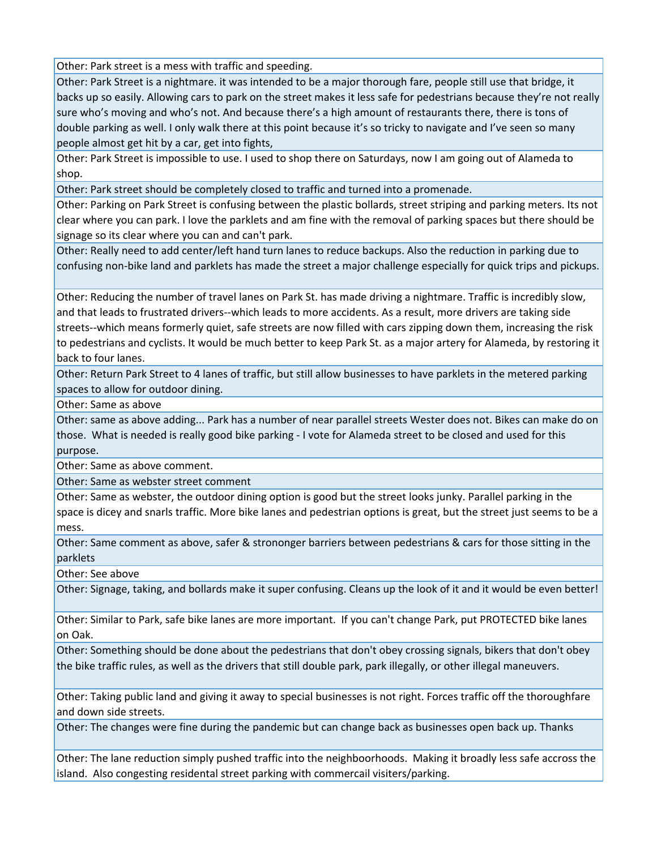Other: Park street is a mess with traffic and speeding.

Other: Park Street is a nightmare. it was intended to be a major thorough fare, people still use that bridge, it backs up so easily. Allowing cars to park on the street makes it less safe for pedestrians because they're not really sure who's moving and who's not. And because there's a high amount of restaurants there, there is tons of double parking as well. I only walk there at this point because it's so tricky to navigate and I've seen so many people almost get hit by a car, get into fights,

Other: Park Street is impossible to use. I used to shop there on Saturdays, now I am going out of Alameda to shop.

Other: Park street should be completely closed to traffic and turned into a promenade.

Other: Parking on Park Street is confusing between the plastic bollards, street striping and parking meters. Its not clear where you can park. I love the parklets and am fine with the removal of parking spaces but there should be signage so its clear where you can and can't park.

Other: Really need to add center/left hand turn lanes to reduce backups. Also the reduction in parking due to confusing non‐bike land and parklets has made the street a major challenge especially for quick trips and pickups.

Other: Reducing the number of travel lanes on Park St. has made driving a nightmare. Traffic is incredibly slow, and that leads to frustrated drivers‐‐which leads to more accidents. As a result, more drivers are taking side streets--which means formerly quiet, safe streets are now filled with cars zipping down them, increasing the risk to pedestrians and cyclists. It would be much better to keep Park St. as a major artery for Alameda, by restoring it back to four lanes.

Other: Return Park Street to 4 lanes of traffic, but still allow businesses to have parklets in the metered parking spaces to allow for outdoor dining.

Other: Same as above

Other: same as above adding... Park has a number of near parallel streets Wester does not. Bikes can make do on those. What is needed is really good bike parking ‐ I vote for Alameda street to be closed and used for this purpose.

Other: Same as above comment.

Other: Same as webster street comment

Other: Same as webster, the outdoor dining option is good but the street looks junky. Parallel parking in the space is dicey and snarls traffic. More bike lanes and pedestrian options is great, but the street just seems to be a mess.

Other: Same comment as above, safer & strononger barriers between pedestrians & cars for those sitting in the parklets

Other: See above

Other: Signage, taking, and bollards make it super confusing. Cleans up the look of it and it would be even better!

Other: Similar to Park, safe bike lanes are more important. If you can't change Park, put PROTECTED bike lanes on Oak.

Other: Something should be done about the pedestrians that don't obey crossing signals, bikers that don't obey the bike traffic rules, as well as the drivers that still double park, park illegally, or other illegal maneuvers.

Other: Taking public land and giving it away to special businesses is not right. Forces traffic off the thoroughfare and down side streets.

Other: The changes were fine during the pandemic but can change back as businesses open back up. Thanks

Other: The lane reduction simply pushed traffic into the neighboorhoods. Making it broadly less safe accross the island. Also congesting residental street parking with commercail visiters/parking.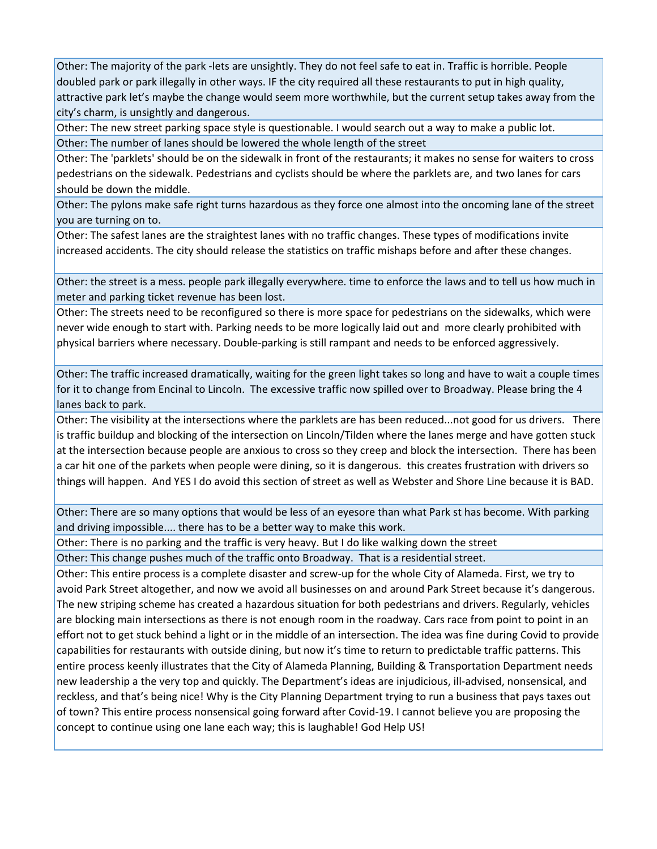Other: The majority of the park ‐lets are unsightly. They do not feel safe to eat in. Traffic is horrible. People doubled park or park illegally in other ways. IF the city required all these restaurants to put in high quality, attractive park let's maybe the change would seem more worthwhile, but the current setup takes away from the city's charm, is unsightly and dangerous.

Other: The new street parking space style is questionable. I would search out a way to make a public lot. Other: The number of lanes should be lowered the whole length of the street

Other: The 'parklets' should be on the sidewalk in front of the restaurants; it makes no sense for waiters to cross pedestrians on the sidewalk. Pedestrians and cyclists should be where the parklets are, and two lanes for cars should be down the middle.

Other: The pylons make safe right turns hazardous as they force one almost into the oncoming lane of the street you are turning on to.

Other: The safest lanes are the straightest lanes with no traffic changes. These types of modifications invite increased accidents. The city should release the statistics on traffic mishaps before and after these changes.

Other: the street is a mess. people park illegally everywhere. time to enforce the laws and to tell us how much in meter and parking ticket revenue has been lost.

Other: The streets need to be reconfigured so there is more space for pedestrians on the sidewalks, which were never wide enough to start with. Parking needs to be more logically laid out and more clearly prohibited with physical barriers where necessary. Double‐parking is still rampant and needs to be enforced aggressively.

Other: The traffic increased dramatically, waiting for the green light takes so long and have to wait a couple times for it to change from Encinal to Lincoln. The excessive traffic now spilled over to Broadway. Please bring the 4 lanes back to park.

Other: The visibility at the intersections where the parklets are has been reduced...not good for us drivers. There is traffic buildup and blocking of the intersection on Lincoln/Tilden where the lanes merge and have gotten stuck at the intersection because people are anxious to cross so they creep and block the intersection. There has been a car hit one of the parkets when people were dining, so it is dangerous. this creates frustration with drivers so things will happen. And YES I do avoid this section of street as well as Webster and Shore Line because it is BAD.

Other: There are so many options that would be less of an eyesore than what Park st has become. With parking and driving impossible.... there has to be a better way to make this work.

Other: There is no parking and the traffic is very heavy. But I do like walking down the street

Other: This change pushes much of the traffic onto Broadway. That is a residential street.

Other: This entire process is a complete disaster and screw‐up for the whole City of Alameda. First, we try to avoid Park Street altogether, and now we avoid all businesses on and around Park Street because it's dangerous. The new striping scheme has created a hazardous situation for both pedestrians and drivers. Regularly, vehicles are blocking main intersections as there is not enough room in the roadway. Cars race from point to point in an effort not to get stuck behind a light or in the middle of an intersection. The idea was fine during Covid to provide capabilities for restaurants with outside dining, but now it's time to return to predictable traffic patterns. This entire process keenly illustrates that the City of Alameda Planning, Building & Transportation Department needs new leadership a the very top and quickly. The Department's ideas are injudicious, ill‐advised, nonsensical, and reckless, and that's being nice! Why is the City Planning Department trying to run a business that pays taxes out of town? This entire process nonsensical going forward after Covid‐19. I cannot believe you are proposing the concept to continue using one lane each way; this is laughable! God Help US!